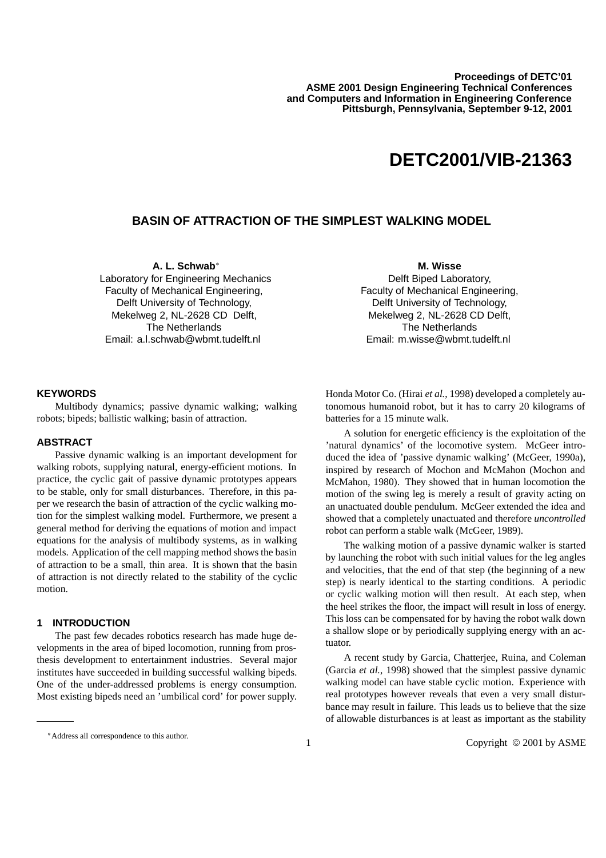# **DETC2001/VIB-21363**

## **BASIN OF ATTRACTION OF THE SIMPLEST WALKING MODEL**

**A. L. Schwab** Laboratory for Engineering Mechanics Faculty of Mechanical Engineering, Delft University of Technology, Mekelweg 2, NL-2628 CD Delft, The Netherlands Email: a.l.schwab@wbmt.tudelft.nl

**M. Wisse** Delft Biped Laboratory, Faculty of Mechanical Engineering, Delft University of Technology, Mekelweg 2, NL-2628 CD Delft, The Netherlands Email: m.wisse@wbmt.tudelft.nl

#### **KEYWORDS**

Multibody dynamics; passive dynamic walking; walking robots; bipeds; ballistic walking; basin of attraction.

## **ABSTRACT**

Passive dynamic walking is an important development for walking robots, supplying natural, energy-efficient motions. In practice, the cyclic gait of passive dynamic prototypes appears to be stable, only for small disturbances. Therefore, in this paper we research the basin of attraction of the cyclic walking motion for the simplest walking model. Furthermore, we present a general method for deriving the equations of motion and impact equations for the analysis of multibody systems, as in walking models. Application of the cell mapping method shows the basin of attraction to be a small, thin area. It is shown that the basin of attraction is not directly related to the stability of the cyclic motion.

## **1 INTRODUCTION**

The past few decades robotics research has made huge developments in the area of biped locomotion, running from prosthesis development to entertainment industries. Several major institutes have succeeded in building successful walking bipeds. One of the under-addressed problems is energy consumption. Most existing bipeds need an 'umbilical cord' for power supply.

Honda Motor Co. (Hirai *et al.*, 1998) developed a completely autonomous humanoid robot, but it has to carry 20 kilograms of batteries for a 15 minute walk.

A solution for energetic efficiency is the exploitation of the 'natural dynamics' of the locomotive system. McGeer introduced the idea of 'passive dynamic walking' (McGeer, 1990a), inspired by research of Mochon and McMahon (Mochon and McMahon, 1980). They showed that in human locomotion the motion of the swing leg is merely a result of gravity acting on an unactuated double pendulum. McGeer extended the idea and showed that a completely unactuated and therefore *uncontrolled* robot can perform a stable walk (McGeer, 1989).

The walking motion of a passive dynamic walker is started by launching the robot with such initial values for the leg angles and velocities, that the end of that step (the beginning of a new step) is nearly identical to the starting conditions. A periodic or cyclic walking motion will then result. At each step, when the heel strikes the floor, the impact will result in loss of energy. This loss can be compensated for by having the robot walk down a shallow slope or by periodically supplying energy with an actuator.

A recent study by Garcia, Chatterjee, Ruina, and Coleman (Garcia *et al.*, 1998) showed that the simplest passive dynamic walking model can have stable cyclic motion. Experience with real prototypes however reveals that even a very small disturbance may result in failure. This leads us to believe that the size of allowable disturbances is at least as important as the stability

Address all correspondence to this author.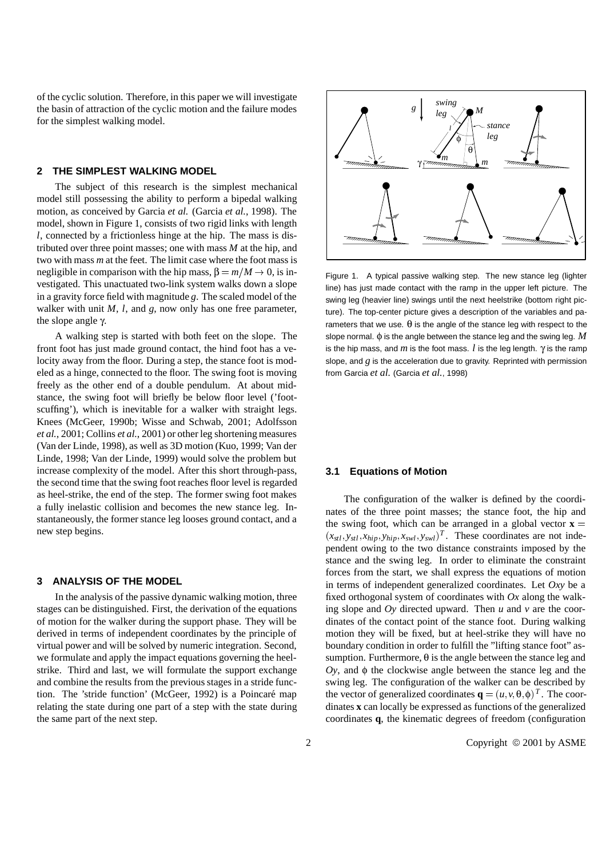of the cyclic solution. Therefore, in this paper we will investigate the basin of attraction of the cyclic motion and the failure modes for the simplest walking model.

## **2 THE SIMPLEST WALKING MODEL**

The subject of this research is the simplest mechanical model still possessing the ability to perform a bipedal walking motion, as conceived by Garcia *et al.* (Garcia *et al.*, 1998). The model, shown in Figure 1, consists of two rigid links with length *l*, connected by a frictionless hinge at the hip. The mass is distributed over three point masses; one with mass *M* at the hip, and two with mass *m* at the feet. The limit case where the foot mass is negligible in comparison with the hip mass,  $\beta = m/M \rightarrow 0$ , is investigated. This unactuated two-link system walks down a slope in a gravity force field with magnitude *g*. The scaled model of the walker with unit *M*, *l*, and *g*, now only has one free parameter, the slope angle γ.

A walking step is started with both feet on the slope. The front foot has just made ground contact, the hind foot has a velocity away from the floor. During a step, the stance foot is modeled as a hinge, connected to the floor. The swing foot is moving freely as the other end of a double pendulum. At about midstance, the swing foot will briefly be below floor level ('footscuffing'), which is inevitable for a walker with straight legs. Knees (McGeer, 1990b; Wisse and Schwab, 2001; Adolfsson *et al.*, 2001; Collins *et al.*, 2001) or other leg shortening measures (Van der Linde, 1998), as well as 3D motion (Kuo, 1999; Van der Linde, 1998; Van der Linde, 1999) would solve the problem but increase complexity of the model. After this short through-pass, the second time that the swing foot reaches floor level is regarded as heel-strike, the end of the step. The former swing foot makes a fully inelastic collision and becomes the new stance leg. Instantaneously, the former stance leg looses ground contact, and a new step begins.

#### **3 ANALYSIS OF THE MODEL**

In the analysis of the passive dynamic walking motion, three stages can be distinguished. First, the derivation of the equations of motion for the walker during the support phase. They will be derived in terms of independent coordinates by the principle of virtual power and will be solved by numeric integration. Second, we formulate and apply the impact equations governing the heelstrike. Third and last, we will formulate the support exchange and combine the results from the previous stages in a stride function. The 'stride function' (McGeer, 1992) is a Poincaré map relating the state during one part of a step with the state during the same part of the next step.



Figure 1. A typical passive walking step. The new stance leg (lighter line) has just made contact with the ramp in the upper left picture. The swing leg (heavier line) swings until the next heelstrike (bottom right picture). The top-center picture gives a description of the variables and parameters that we use.  $\theta$  is the angle of the stance leg with respect to the slope normal. φ is the angle between the stance leg and the swing leg. *M* is the hip mass, and *m* is the foot mass.  $l$  is the leg length.  $\gamma$  is the ramp slope, and  $g$  is the acceleration due to gravity. Reprinted with permission from Garcia *et al.* (Garcia *et al.*, 1998)

#### **3.1 Equations of Motion**

The configuration of the walker is defined by the coordinates of the three point masses; the stance foot, the hip and the swing foot, which can be arranged in a global vector  $\mathbf{x} =$  $(x_{stl}, y_{stl}, x_{hip}, y_{hip}, x_{swl}, y_{swl})^T$ . These coordinates are not independent owing to the two distance constraints imposed by the stance and the swing leg. In order to eliminate the constraint forces from the start, we shall express the equations of motion in terms of independent generalized coordinates. Let *Oxy* be a fixed orthogonal system of coordinates with *Ox* along the walking slope and *Oy* directed upward. Then *u* and *v* are the coordinates of the contact point of the stance foot. During walking motion they will be fixed, but at heel-strike they will have no boundary condition in order to fulfill the "lifting stance foot" assumption. Furthermore,  $\theta$  is the angle between the stance leg and *Oy*, and φ the clockwise angle between the stance leg and the swing leg. The configuration of the walker can be described by the vector of generalized coordinates  $\mathbf{q} = (u, v, \theta, \phi)^T$ . The coordinates **x** can locally be expressed as functions of the generalized coordinates **q**, the kinematic degrees of freedom (configuration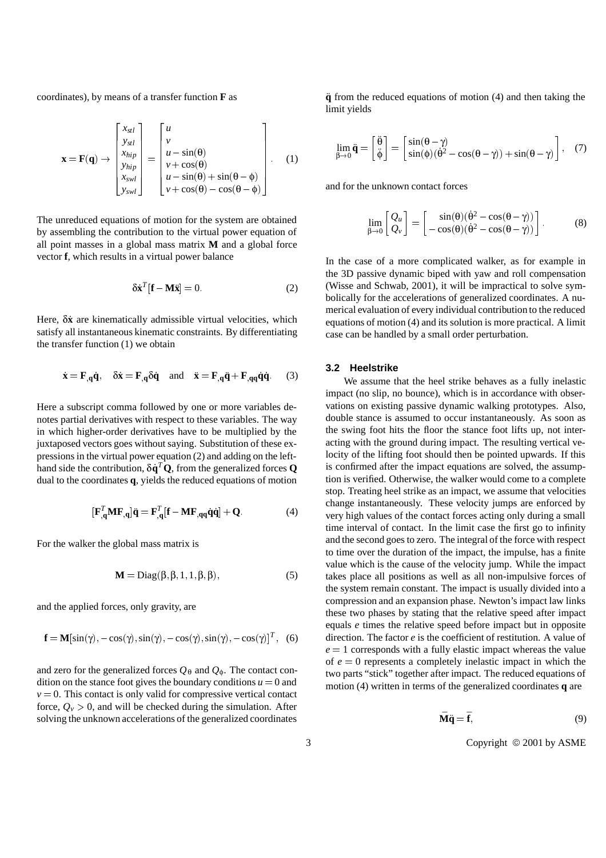coordinates), by means of a transfer function **F** as

<sup>2</sup>

$$
\mathbf{x} = \mathbf{F}(\mathbf{q}) \rightarrow \begin{bmatrix} x_{stl} \\ y_{stl} \\ x_{hip} \\ y_{hip} \\ x_{swl} \\ y_{swl} \end{bmatrix} = \begin{bmatrix} u \\ v \\ u - \sin(\theta) \\ v + \cos(\theta) \\ u - \sin(\theta) + \sin(\theta - \phi) \\ v + \cos(\theta) - \cos(\theta - \phi) \end{bmatrix} . \quad (1)
$$

 $\overline{\phantom{a}}$  2  $\overline{\phantom{a}}$  2  $\overline{\phantom{a}}$  2  $\overline{\phantom{a}}$  2  $\overline{\phantom{a}}$  2  $\overline{\phantom{a}}$  2  $\overline{\phantom{a}}$  2  $\overline{\phantom{a}}$  2  $\overline{\phantom{a}}$  2  $\overline{\phantom{a}}$  2  $\overline{\phantom{a}}$  2  $\overline{\phantom{a}}$  2  $\overline{\phantom{a}}$  2  $\overline{\phantom{a}}$  2  $\overline{\phantom{a}}$  2  $\overline{\phantom{a}}$ 

and the second contract of the second contract of the second contract of the second contract of the second con

<sup>3</sup>

The unreduced equations of motion for the system are obtained by assembling the contribution to the virtual power equation of all point masses in a global mass matrix **M** and a global force vector **f**, which results in a virtual power balance

$$
\delta \dot{\mathbf{x}}^T [\mathbf{f} - \mathbf{M} \ddot{\mathbf{x}}] = 0. \tag{2}
$$

Here, δ**x**˙ are kinematically admissible virtual velocities, which satisfy all instantaneous kinematic constraints. By differentiating the transfer function (1) we obtain

$$
\dot{\mathbf{x}} = \mathbf{F}_{,q} \dot{\mathbf{q}}, \quad \delta \dot{\mathbf{x}} = \mathbf{F}_{,q} \delta \dot{\mathbf{q}} \quad \text{and} \quad \ddot{\mathbf{x}} = \mathbf{F}_{,q} \ddot{\mathbf{q}} + \mathbf{F}_{,q} \dot{\mathbf{q}} \dot{\mathbf{q}}.
$$
 (3)

Here a subscript comma followed by one or more variables denotes partial derivatives with respect to these variables. The way in which higher-order derivatives have to be multiplied by the juxtaposed vectors goes without saying. Substitution of these expressions in the virtual power equation (2) and adding on the lefthand side the contribution,  $\delta \dot{\mathbf{q}}^T \mathbf{Q}$ , from the generalized forces **Q** dual to the coordinates **q**, yields the reduced equations of motion

$$
[\mathbf{F}_{,\mathbf{q}}^T \mathbf{M} \mathbf{F}_{,\mathbf{q}}] \ddot{\mathbf{q}} = \mathbf{F}_{,\mathbf{q}}^T [\mathbf{f} - \mathbf{M} \mathbf{F}_{,\mathbf{q}\mathbf{q}} \dot{\mathbf{q}} \dot{\mathbf{q}}] + \mathbf{Q} \tag{4}
$$

For the walker the global mass matrix is

$$
\mathbf{M} = \text{Diag}(\beta, \beta, 1, 1, \beta, \beta),\tag{5}
$$

and the applied forces, only gravity, are

$$
\mathbf{f} = \mathbf{M}[\sin(\gamma), -\cos(\gamma), \sin(\gamma), -\cos(\gamma), \sin(\gamma), -\cos(\gamma)]^T, (6)
$$

and zero for the generalized forces  $Q_{\theta}$  and  $Q_{\phi}$ . The contact condition on the stance foot gives the boundary conditions  $u = 0$  and  $v = 0$ . This contact is only valid for compressive vertical contact force,  $Q_v > 0$ , and will be checked during the simulation. After solving the unknown accelerations of the generalized coordinates **q** from the reduced equations of motion (4) and then taking the limit yields

$$
\lim_{\beta \to 0} \ddot{\mathbf{q}} = \begin{bmatrix} \ddot{\theta} \\ \ddot{\phi} \end{bmatrix} = \begin{bmatrix} \sin(\theta - \gamma) \\ \sin(\phi)(\dot{\theta}^2 - \cos(\theta - \gamma)) + \sin(\theta - \gamma) \end{bmatrix}, \quad (7)
$$

and for the unknown contact forces

$$
\lim_{\beta \to 0} \begin{bmatrix} Q_u \\ Q_v \end{bmatrix} = \begin{bmatrix} \sin(\theta)(\dot{\theta}^2 - \cos(\theta - \gamma)) \\ -\cos(\theta)(\dot{\theta}^2 - \cos(\theta - \gamma)) \end{bmatrix}.
$$
 (8)

In the case of a more complicated walker, as for example in the 3D passive dynamic biped with yaw and roll compensation (Wisse and Schwab, 2001), it will be impractical to solve symbolically for the accelerations of generalized coordinates. A numerical evaluation of every individual contribution to the reduced equations of motion (4) and its solution is more practical. A limit case can be handled by a small order perturbation.

#### **3.2 Heelstrike**

We assume that the heel strike behaves as a fully inelastic impact (no slip, no bounce), which is in accordance with observations on existing passive dynamic walking prototypes. Also, double stance is assumed to occur instantaneously. As soon as the swing foot hits the floor the stance foot lifts up, not interacting with the ground during impact. The resulting vertical velocity of the lifting foot should then be pointed upwards. If this is confirmed after the impact equations are solved, the assumption is verified. Otherwise, the walker would come to a complete stop. Treating heel strike as an impact, we assume that velocities change instantaneously. These velocity jumps are enforced by very high values of the contact forces acting only during a small time interval of contact. In the limit case the first go to infinity and the second goes to zero. The integral of the force with respect to time over the duration of the impact, the impulse, has a finite value which is the cause of the velocity jump. While the impact takes place all positions as well as all non-impulsive forces of the system remain constant. The impact is usually divided into a compression and an expansion phase. Newton's impact law links these two phases by stating that the relative speed after impact equals *e* times the relative speed before impact but in opposite direction. The factor *e* is the coefficient of restitution. A value of  $e = 1$  corresponds with a fully elastic impact whereas the value of  $e = 0$  represents a completely inelastic impact in which the two parts "stick" together after impact. The reduced equations of motion (4) written in terms of the generalized coordinates **q** are

$$
\bar{\mathbf{M}}\ddot{\mathbf{q}} = \bar{\mathbf{f}},\tag{9}
$$

3 Copyright  $\odot$  2001 by ASME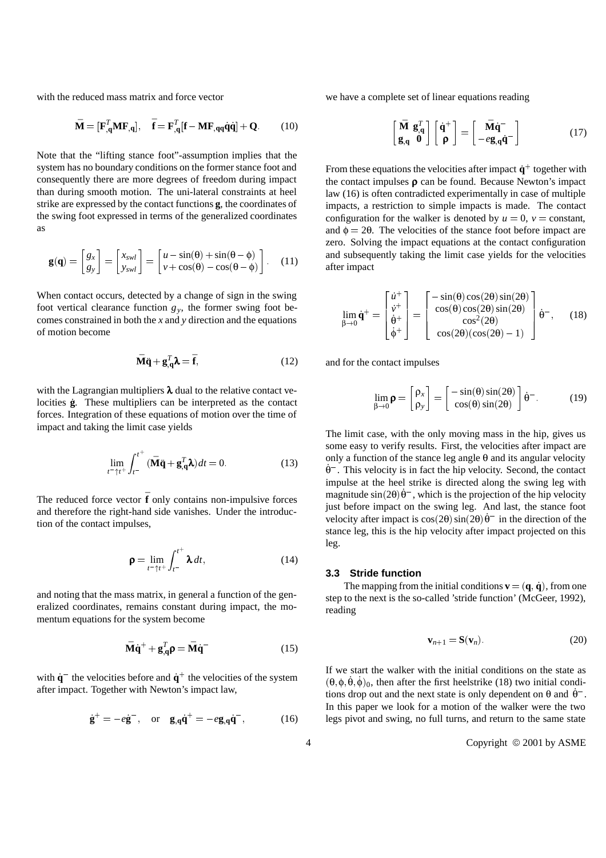with the reduced mass matrix and force vector

$$
\bar{\mathbf{M}} = [\mathbf{F}_{,\mathbf{q}}^T \mathbf{M} \mathbf{F}_{,\mathbf{q}}], \quad \bar{\mathbf{f}} = \mathbf{F}_{,\mathbf{q}}^T [\mathbf{f} - \mathbf{M} \mathbf{F}_{,\mathbf{q}\mathbf{q}} \dot{\mathbf{q}} \dot{\mathbf{q}}] + \mathbf{Q}.
$$
 (10)

Note that the "lifting stance foot"-assumption implies that the system has no boundary conditions on the former stance foot and consequently there are more degrees of freedom during impact than during smooth motion. The uni-lateral constraints at heel strike are expressed by the contact functions **g**, the coordinates of the swing foot expressed in terms of the generalized coordinates as

$$
\mathbf{g}(\mathbf{q}) = \begin{bmatrix} g_x \\ g_y \end{bmatrix} = \begin{bmatrix} x_{swl} \\ y_{swl} \end{bmatrix} = \begin{bmatrix} u - \sin(\theta) + \sin(\theta - \phi) \\ v + \cos(\theta) - \cos(\theta - \phi) \end{bmatrix}.
$$
 (11)

When contact occurs, detected by a change of sign in the swing foot vertical clearance function  $g_y$ , the former swing foot becomes constrained in both the *x* and *y* direction and the equations of motion become

$$
\bar{\mathbf{M}}\ddot{\mathbf{q}} + \mathbf{g}_{,\mathbf{q}}^T \mathbf{\lambda} = \bar{\mathbf{f}},
$$
 (12)

with the Lagrangian multipliers  $\lambda$  dual to the relative contact velocities  $\dot{g}$ . These multipliers can be interpreted as the contact forces. Integration of these equations of motion over the time of impact and taking the limit case yields

$$
\lim_{t^- \uparrow t^+} \int_{t^-}^{t^+} (\bar{\mathbf{M}} \ddot{\mathbf{q}} + \mathbf{g}_{,\mathbf{q}}^T \mathbf{\lambda}) dt = 0.
$$
 (13)

The reduced force vector  $\mathbf{\bar{f}}$  only contains non-impulsive forces and therefore the right-hand side vanishes. Under the introduction of the contact impulses,

$$
\mathbf{\rho} = \lim_{t^- \uparrow t^+} \int_{t^-}^{t^+} \mathbf{\lambda} \, dt,\tag{14}
$$

and noting that the mass matrix, in general a function of the generalized coordinates, remains constant during impact, the momentum equations for the system become

$$
\mathbf{\bar{M}\dot{q}}^{+} + \mathbf{g}_{,\mathbf{q}}^{T}\mathbf{\rho} = \mathbf{\bar{M}\dot{q}}^{-} \tag{15}
$$

with  $\dot{q}$ <sup> $-$ </sup> the velocities before and  $\dot{q}$ <sup> $+$ </sup> the velocities of the system after impact. Together with Newton's impact law,

$$
\dot{\mathbf{g}}^{+} = -e\dot{\mathbf{g}}^{-}, \text{ or } \mathbf{g}_{,\mathbf{q}}\dot{\mathbf{q}}^{+} = -e\mathbf{g}_{,\mathbf{q}}\dot{\mathbf{q}}^{-}, \tag{16}
$$

we have a complete set of linear equations reading

$$
\begin{bmatrix} \bar{\mathbf{M}} & \mathbf{g}_{,\mathbf{q}}^T \\ \mathbf{g}_{,\mathbf{q}} & \mathbf{0} \end{bmatrix} \begin{bmatrix} \dot{\mathbf{q}}^+ \\ \mathbf{\rho} \end{bmatrix} = \begin{bmatrix} \bar{\mathbf{M}} \dot{\mathbf{q}}^- \\ -e\mathbf{g}_{,\mathbf{q}} \dot{\mathbf{q}}^- \end{bmatrix}
$$
(17)

From these equations the velocities after impact  $\dot{q}^+$  together with the contact impulses  $\rho$  can be found. Because Newton's impact law (16) is often contradicted experimentally in case of multiple impacts, a restriction to simple impacts is made. The contact configuration for the walker is denoted by  $u = 0$ ,  $v = constant$ , and  $\phi = 2\theta$ . The velocities of the stance foot before impact are zero. Solving the impact equations at the contact configuration and subsequently taking the limit case yields for the velocities after impact

$$
\lim_{\beta \to 0} \dot{\mathbf{q}}^{+} = \begin{bmatrix} \dot{u}^{+} \\ \dot{v}^{+} \\ \dot{\theta}^{+} \\ \dot{\phi}^{+} \end{bmatrix} = \begin{bmatrix} -\sin(\theta)\cos(2\theta)\sin(2\theta) \\ \cos(\theta)\cos(2\theta)\sin(2\theta) \\ \cos^{2}(2\theta) \\ \cos(2\theta)(\cos(2\theta) - 1) \end{bmatrix} \dot{\theta}^{-}, \quad (18)
$$

and for the contact impulses

β!0

$$
\lim_{\beta \to 0} \mathbf{p} = \begin{bmatrix} \rho_x \\ \rho_y \end{bmatrix} = \begin{bmatrix} -\sin(\theta)\sin(2\theta) \\ \cos(\theta)\sin(2\theta) \end{bmatrix} \dot{\theta}^{-}.
$$
 (19)

The limit case, with the only moving mass in the hip, gives us some easy to verify results. First, the velocities after impact are only a function of the stance leg angle  $\theta$  and its angular velocity θ˙ . This velocity is in fact the hip velocity. Second, the contact impulse at the heel strike is directed along the swing leg with magnitude  $\sin(2\theta)\dot{\theta}$ , which is the projection of the hip velocity just before impact on the swing leg. And last, the stance foot velocity after impact is  $cos(2\theta) sin(2\theta) \dot{\theta}$  in the direction of the stance leg, this is the hip velocity after impact projected on this leg.

### **3.3 Stride function**

The mapping from the initial conditions  $\mathbf{v} = (\mathbf{q}, \dot{\mathbf{q}})$ , from one step to the next is the so-called 'stride function' (McGeer, 1992), reading

$$
\mathbf{v}_{n+1} = \mathbf{S}(\mathbf{v}_n). \tag{20}
$$

If we start the walker with the initial conditions on the state as  $(\theta, \phi, \dot{\theta}, \dot{\phi})_0$ , then after the first heelstrike (18) two initial conditions drop out and the next state is only dependent on  $\theta$  and  $\dot{\theta}^-$ . In this paper we look for a motion of the walker were the two legs pivot and swing, no full turns, and return to the same state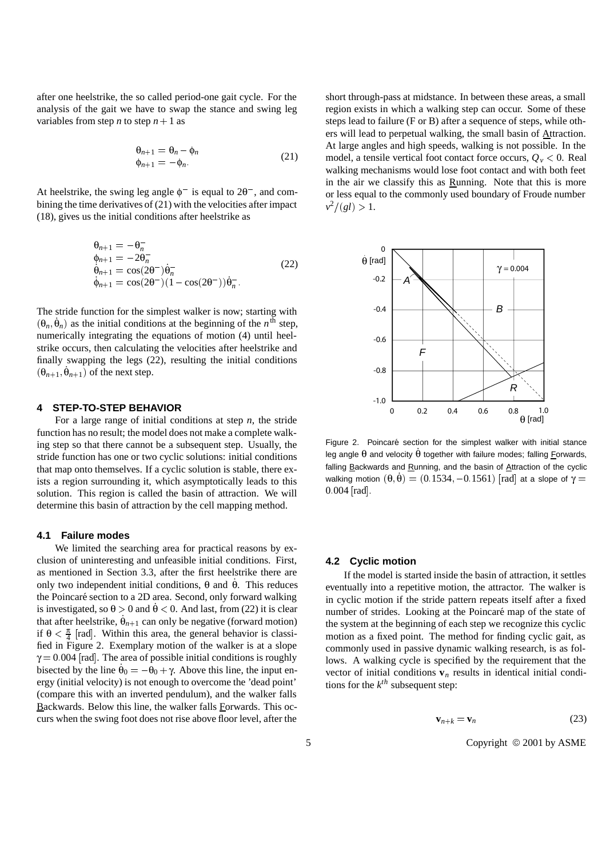after one heelstrike, the so called period-one gait cycle. For the analysis of the gait we have to swap the stance and swing leg variables from step *n* to step  $n + 1$  as

$$
\begin{aligned}\n\theta_{n+1} &= \theta_n - \phi_n \\
\phi_{n+1} &= -\phi_n.\n\end{aligned} \tag{21}
$$

At heelstrike, the swing leg angle  $\phi^-$  is equal to  $2\theta^-$ , and combining the time derivatives of (21) with the velocities after impact (18), gives us the initial conditions after heelstrike as

$$
\begin{aligned}\n\theta_{n+1} &= -\theta_n^- \\
\phi_{n+1} &= -2\theta_n^- \\
\dot{\theta}_{n+1} &= \cos(2\theta^-)\dot{\theta}_n^- \\
\dot{\phi}_{n+1} &= \cos(2\theta^-)(1-\cos(2\theta^-))\dot{\theta}_n^-\n\end{aligned} \tag{22}
$$

The stride function for the simplest walker is now; starting with  $(\theta_n, \dot{\theta}_n)$  as the initial conditions at the beginning of the *n*<sup>th</sup> step, numerically integrating the equations of motion (4) until heelstrike occurs, then calculating the velocities after heelstrike and finally swapping the legs (22), resulting the initial conditions  $(\theta_{n+1}, \dot{\theta}_{n+1})$  of the next step.

## **4 STEP-TO-STEP BEHAVIOR**

For a large range of initial conditions at step *n*, the stride function has no result; the model does not make a complete walking step so that there cannot be a subsequent step. Usually, the stride function has one or two cyclic solutions: initial conditions that map onto themselves. If a cyclic solution is stable, there exists a region surrounding it, which asymptotically leads to this solution. This region is called the basin of attraction. We will determine this basin of attraction by the cell mapping method.

## **4.1 Failure modes**

We limited the searching area for practical reasons by exclusion of uninteresting and unfeasible initial conditions. First, as mentioned in Section 3.3, after the first heelstrike there are only two independent initial conditions,  $θ$  and  $θ$ . This reduces the Poincaré section to a 2D area. Second, only forward walking is investigated, so  $\theta > 0$  and  $\dot{\theta} < 0$ . And last, from (22) it is clear that after heelstrike,  $\dot{\theta}_{n+1}$  can only be negative (forward motion) if  $\theta < \frac{\pi}{4}$  [rad]. Within this area, the general behavior is classified in Figure 2. Exemplary motion of the walker is at a slope  $\gamma = 0.004$  [rad]. The area of possible initial conditions is roughly bisected by the line  $\dot{\theta}_0 = -\theta_0 + \gamma$ . Above this line, the input energy (initial velocity) is not enough to overcome the 'dead point' (compare this with an inverted pendulum), and the walker falls Backwards. Below this line, the walker falls Forwards. This occurs when the swing foot does not rise above floor level, after the

short through-pass at midstance. In between these areas, a small region exists in which a walking step can occur. Some of these steps lead to failure (F or B) after a sequence of steps, while others will lead to perpetual walking, the small basin of Attraction. At large angles and high speeds, walking is not possible. In the model, a tensile vertical foot contact force occurs,  $Q_v < 0$ . Real walking mechanisms would lose foot contact and with both feet in the air we classify this as Running. Note that this is more or less equal to the commonly used boundary of Froude number  $v^2/(gl) > 1.$ 



Figure 2. Poincaré section for the simplest walker with initial stance leg angle  $\theta$  and velocity  $\dot{\theta}$  together with failure modes; falling Forwards, falling Backwards and Running, and the basin of Attraction of the cyclic walking motion  $(\theta, \dot{\theta}) = (0.1534, -0.1561)$  [rad] at a slope of γ = 0:004 [rad].

### **4.2 Cyclic motion**

If the model is started inside the basin of attraction, it settles eventually into a repetitive motion, the attractor. The walker is in cyclic motion if the stride pattern repeats itself after a fixed number of strides. Looking at the Poincaré map of the state of the system at the beginning of each step we recognize this cyclic motion as a fixed point. The method for finding cyclic gait, as commonly used in passive dynamic walking research, is as follows. A walking cycle is specified by the requirement that the vector of initial conditions  $\mathbf{v}_n$  results in identical initial conditions for the  $k^{th}$  subsequent step:

$$
\mathbf{v}_{n+k} = \mathbf{v}_n \tag{23}
$$

5 Copyright  $\odot$  2001 by ASME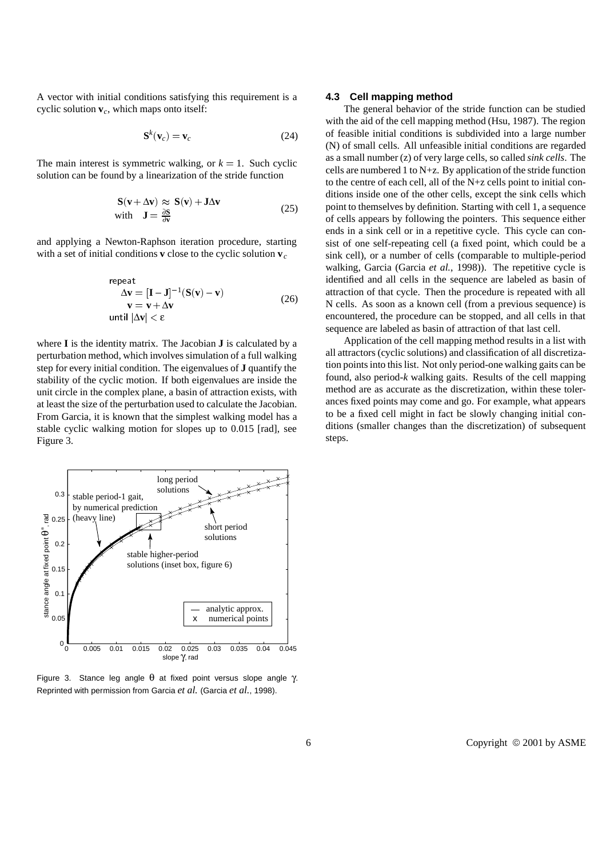A vector with initial conditions satisfying this requirement is a cyclic solution **v***c*, which maps onto itself:

$$
\mathbf{S}^k(\mathbf{v}_c) = \mathbf{v}_c \tag{24}
$$

The main interest is symmetric walking, or  $k = 1$ . Such cyclic solution can be found by a linearization of the stride function

$$
\mathbf{S}(\mathbf{v} + \Delta \mathbf{v}) \approx \mathbf{S}(\mathbf{v}) + \mathbf{J}\Delta \mathbf{v}
$$
  
with 
$$
\mathbf{J} = \frac{\partial \mathbf{S}}{\partial \mathbf{v}}
$$
 (25)

and applying a Newton-Raphson iteration procedure, starting with a set of initial conditions **v** close to the cyclic solution **v***<sup>c</sup>*

repeat  
\nΔ**v** = [I – J]<sup>-1</sup>(S(**v**) – **v**)  
\n**v** = **v** + Δ**v** (26)  
\nuntil |Δ**v**| < 
$$
\epsilon
$$

where **I** is the identity matrix. The Jacobian **J** is calculated by a perturbation method, which involves simulation of a full walking step for every initial condition. The eigenvalues of **J** quantify the stability of the cyclic motion. If both eigenvalues are inside the unit circle in the complex plane, a basin of attraction exists, with at least the size of the perturbation used to calculate the Jacobian. From Garcia, it is known that the simplest walking model has a stable cyclic walking motion for slopes up to 0.015 [rad], see Figure 3.



Figure 3. Stance leg angle  $θ$  at fixed point versus slope angle γ. Reprinted with permission from Garcia *et al.* (Garcia *et al.*, 1998).

### **4.3 Cell mapping method**

The general behavior of the stride function can be studied with the aid of the cell mapping method (Hsu, 1987). The region of feasible initial conditions is subdivided into a large number (N) of small cells. All unfeasible initial conditions are regarded as a small number (z) of very large cells, so called *sink cells*. The cells are numbered 1 to N+z. By application of the stride function to the centre of each cell, all of the N+z cells point to initial conditions inside one of the other cells, except the sink cells which point to themselves by definition. Starting with cell 1, a sequence of cells appears by following the pointers. This sequence either ends in a sink cell or in a repetitive cycle. This cycle can consist of one self-repeating cell (a fixed point, which could be a sink cell), or a number of cells (comparable to multiple-period walking, Garcia (Garcia *et al.*, 1998)). The repetitive cycle is identified and all cells in the sequence are labeled as basin of attraction of that cycle. Then the procedure is repeated with all N cells. As soon as a known cell (from a previous sequence) is encountered, the procedure can be stopped, and all cells in that sequence are labeled as basin of attraction of that last cell.

Application of the cell mapping method results in a list with all attractors (cyclic solutions) and classification of all discretization points into this list. Not only period-one walking gaits can be found, also period-*k* walking gaits. Results of the cell mapping method are as accurate as the discretization, within these tolerances fixed points may come and go. For example, what appears to be a fixed cell might in fact be slowly changing initial conditions (smaller changes than the discretization) of subsequent steps.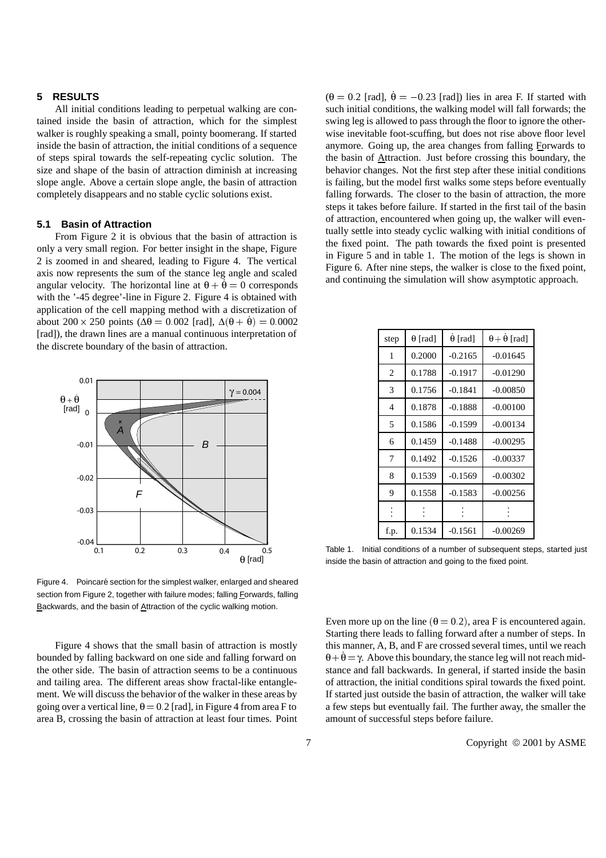## **5 RESULTS**

All initial conditions leading to perpetual walking are contained inside the basin of attraction, which for the simplest walker is roughly speaking a small, pointy boomerang. If started inside the basin of attraction, the initial conditions of a sequence of steps spiral towards the self-repeating cyclic solution. The size and shape of the basin of attraction diminish at increasing slope angle. Above a certain slope angle, the basin of attraction completely disappears and no stable cyclic solutions exist.

## **5.1 Basin of Attraction**

From Figure 2 it is obvious that the basin of attraction is only a very small region. For better insight in the shape, Figure 2 is zoomed in and sheared, leading to Figure 4. The vertical axis now represents the sum of the stance leg angle and scaled angular velocity. The horizontal line at  $\theta + \dot{\theta} = 0$  corresponds with the '-45 degree'-line in Figure 2. Figure 4 is obtained with application of the cell mapping method with a discretization of about 200  $\times$  250 points ( $\Delta\theta$  = 0.002 [rad],  $\Delta(\theta + \dot{\theta})$  = 0.0002 [rad]), the drawn lines are a manual continuous interpretation of the discrete boundary of the basin of attraction.



Figure 4. Poincaré section for the simplest walker, enlarged and sheared section from Figure 2, together with failure modes; falling Forwards, falling Backwards, and the basin of Attraction of the cyclic walking motion.

Figure 4 shows that the small basin of attraction is mostly bounded by falling backward on one side and falling forward on the other side. The basin of attraction seems to be a continuous and tailing area. The different areas show fractal-like entanglement. We will discuss the behavior of the walker in these areas by going over a vertical line,  $\theta = 0.2$  [rad], in Figure 4 from area F to area B, crossing the basin of attraction at least four times. Point  $(\theta = 0.2$  [rad],  $\dot{\theta} = -0.23$  [rad]) lies in area F. If started with such initial conditions, the walking model will fall forwards; the swing leg is allowed to pass through the floor to ignore the otherwise inevitable foot-scuffing, but does not rise above floor level anymore. Going up, the area changes from falling Forwards to the basin of Attraction. Just before crossing this boundary, the behavior changes. Not the first step after these initial conditions is failing, but the model first walks some steps before eventually falling forwards. The closer to the basin of attraction, the more steps it takes before failure. If started in the first tail of the basin of attraction, encountered when going up, the walker will eventually settle into steady cyclic walking with initial conditions of the fixed point. The path towards the fixed point is presented in Figure 5 and in table 1. The motion of the legs is shown in Figure 6. After nine steps, the walker is close to the fixed point, and continuing the simulation will show asymptotic approach.

| step           | $\theta$ [rad] | $\theta$ [rad] | $\theta + \dot{\theta}$ [rad] |
|----------------|----------------|----------------|-------------------------------|
| 1              | 0.2000         | $-0.2165$      | $-0.01645$                    |
| $\overline{2}$ | 0.1788         | $-0.1917$      | $-0.01290$                    |
| 3              | 0.1756         | -0.1841        | $-0.00850$                    |
| 4              | 0.1878         | $-0.1888$      | $-0.00100$                    |
| 5              | 0.1586         | $-0.1599$      | $-0.00134$                    |
| 6              | 0.1459         | $-0.1488$      | $-0.00295$                    |
| 7              | 0.1492         | $-0.1526$      | $-0.00337$                    |
| 8              | 0.1539         | $-0.1569$      | $-0.00302$                    |
| 9              | 0.1558         | $-0.1583$      | $-0.00256$                    |
| $\ddot{\cdot}$ |                |                |                               |
| f.p.           | 0.1534         | $-0.1561$      | $-0.00269$                    |

Table 1. Initial conditions of a number of subsequent steps, started just inside the basin of attraction and going to the fixed point.

Even more up on the line  $(\theta = 0.2)$ , area F is encountered again. Starting there leads to falling forward after a number of steps. In this manner, A, B, and F are crossed several times, until we reach  $\dot{\theta} + \dot{\theta} = \gamma$ . Above this boundary, the stance leg will not reach midstance and fall backwards. In general, if started inside the basin of attraction, the initial conditions spiral towards the fixed point. If started just outside the basin of attraction, the walker will take a few steps but eventually fail. The further away, the smaller the amount of successful steps before failure.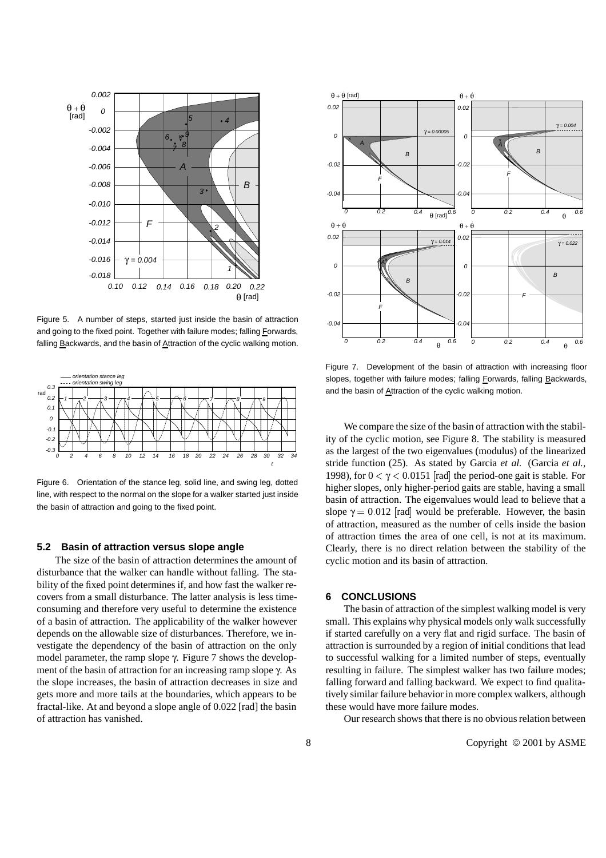

Figure 5. A number of steps, started just inside the basin of attraction and going to the fixed point. Together with failure modes; falling Forwards, falling Backwards, and the basin of Attraction of the cyclic walking motion.



Figure 6. Orientation of the stance leg, solid line, and swing leg, dotted line, with respect to the normal on the slope for a walker started just inside the basin of attraction and going to the fixed point.

#### **5.2 Basin of attraction versus slope angle**

The size of the basin of attraction determines the amount of disturbance that the walker can handle without falling. The stability of the fixed point determines if, and how fast the walker recovers from a small disturbance. The latter analysis is less timeconsuming and therefore very useful to determine the existence of a basin of attraction. The applicability of the walker however depends on the allowable size of disturbances. Therefore, we investigate the dependency of the basin of attraction on the only model parameter, the ramp slope γ. Figure 7 shows the development of the basin of attraction for an increasing ramp slope γ. As the slope increases, the basin of attraction decreases in size and gets more and more tails at the boundaries, which appears to be fractal-like. At and beyond a slope angle of 0.022 [rad] the basin of attraction has vanished.



Figure 7. Development of the basin of attraction with increasing floor slopes, together with failure modes; falling Forwards, falling Backwards, and the basin of Attraction of the cyclic walking motion.

We compare the size of the basin of attraction with the stability of the cyclic motion, see Figure 8. The stability is measured as the largest of the two eigenvalues (modulus) of the linearized stride function (25). As stated by Garcia *et al.* (Garcia *et al.*, 1998), for  $0 < \gamma < 0.0151$  [rad] the period-one gait is stable. For higher slopes, only higher-period gaits are stable, having a small basin of attraction. The eigenvalues would lead to believe that a slope  $\gamma = 0.012$  [rad] would be preferable. However, the basin of attraction, measured as the number of cells inside the basion of attraction times the area of one cell, is not at its maximum. Clearly, there is no direct relation between the stability of the cyclic motion and its basin of attraction.

## **6 CONCLUSIONS**

The basin of attraction of the simplest walking model is very small. This explains why physical models only walk successfully if started carefully on a very flat and rigid surface. The basin of attraction is surrounded by a region of initial conditions that lead to successful walking for a limited number of steps, eventually resulting in failure. The simplest walker has two failure modes; falling forward and falling backward. We expect to find qualitatively similar failure behavior in more complex walkers, although these would have more failure modes.

Our research shows that there is no obvious relation between